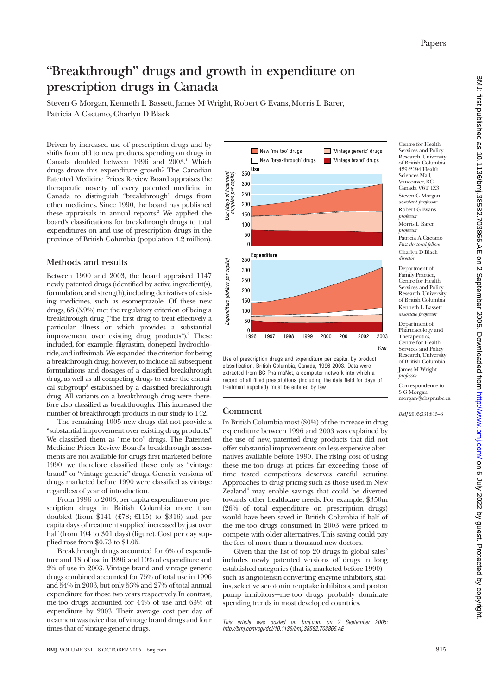# **"Breakthrough" drugs and growth in expenditure on prescription drugs in Canada**

Steven G Morgan, Kenneth L Bassett, James M Wright, Robert G Evans, Morris L Barer,

Patricia A Caetano, Charlyn D Black

Driven by increased use of prescription drugs and by shifts from old to new products, spending on drugs in Canada doubled between 1996 and 2003.<sup>1</sup> Which drugs drove this expenditure growth? The Canadian Patented Medicine Prices Review Board appraises the therapeutic novelty of every patented medicine in Canada to distinguish "breakthrough" drugs from other medicines. Since 1990, the board has published these appraisals in annual reports.<sup>2</sup> We applied the board's classifications for breakthrough drugs to total expenditures on and use of prescription drugs in the province of British Columbia (population 4.2 million).

### **Methods and results**

Between 1990 and 2003, the board appraised 1147 newly patented drugs (identified by active ingredient(s), formulation, and strength), including derivatives of existing medicines, such as esomeprazole. Of these new drugs, 68 (5.9%) met the regulatory criterion of being a breakthrough drug ("the first drug to treat effectively a particular illness or which provides a substantial improvement over existing drug products").<sup>2</sup> These included, for example, filgrastim, donepezil hydrochloride, and infliximab.We expanded the criterion for being a breakthrough drug, however, to include all subsequent formulations and dosages of a classified breakthrough drug, as well as all competing drugs to enter the chemical subgroup3 established by a classified breakthrough drug. All variants on a breakthrough drug were therefore also classified as breakthroughs. This increased the number of breakthrough products in our study to 142.

The remaining 1005 new drugs did not provide a "substantial improvement over existing drug products." We classified them as "me-too" drugs. The Patented Medicine Prices Review Board's breakthrough assessments are not available for drugs first marketed before 1990; we therefore classified these only as "vintage brand" or "vintage generic" drugs. Generic versions of drugs marketed before 1990 were classified as vintage regardless of year of introduction.

From 1996 to 2003, per capita expenditure on prescription drugs in British Columbia more than doubled (from \$141 (£78;  $€115$ ) to \$316) and per capita days of treatment supplied increased by just over half (from 194 to 301 days) (figure). Cost per day supplied rose from \$0.73 to \$1.05.

Breakthrough drugs accounted for 6% of expenditure and 1% of use in 1996, and 10% of expenditure and 2% of use in 2003. Vintage brand and vintage generic drugs combined accounted for 75% of total use in 1996 and 54% in 2003, but only 53% and 27% of total annual expenditure for those two years respectively. In contrast, me-too drugs accounted for 44% of use and 63% of expenditure by 2003. Their average cost per day of treatment was twice that of vintage brand drugs and four times that of vintage generic drugs.



Use of prescription drugs and expenditure per capita, by product classification, British Columbia, Canada, 1996-2003. Data were extracted from BC PharmaNet, a computer network into which a record of all filled prescriptions (including the data field for days of treatment supplied) must be entered by law

### **Comment**

In British Columbia most (80%) of the increase in drug expenditure between 1996 and 2003 was explained by the use of new, patented drug products that did not offer substantial improvements on less expensive alternatives available before 1990. The rising cost of using these me-too drugs at prices far exceeding those of time tested competitors deserves careful scrutiny. Approaches to drug pricing such as those used in New Zealand<sup>4</sup> may enable savings that could be diverted towards other healthcare needs. For example, \$350m (26% of total expenditure on prescription drugs) would have been saved in British Columbia if half of the me-too drugs consumed in 2003 were priced to compete with older alternatives. This saving could pay the fees of more than a thousand new doctors.

Given that the list of top 20 drugs in global sales $5$ includes newly patented versions of drugs in long established categories (that is, marketed before 1990) such as angiotensin converting enzyme inhibitors, statins, selective serotonin reuptake inhibitors, and proton pump inhibitors—me-too drugs probably dominate spending trends in most developed countries.

Centre for Health Services and Policy Research, University of British Columbia, 429-2194 Health Sciences Mall, Vancouver, BC, Canada V6T 1Z3 Steven G Morgan *assistant professor* Robert G Evans *professor* Morris L Barer *professor* Patricia A Caetano *Post-doctoral fellow* Charlyn D Black *director*

Department of Family Practice, Centre for Health Services and Policy Research, University of British Columbia Kenneth L Bassett *associate professor*

Department of Pharmacology and Therapeutics, Centre for Health Services and Policy Research, University of British Columbia James M Wright *professor*

Correspondence to: S G Morgan morgan@chspr.ubc.ca

*BMJ* 2005;331:815–6

This article was posted on bmj.com on 2 September 2005: http://bmj.com/cgi/doi/10.1136/bmj.38582.703866.AE